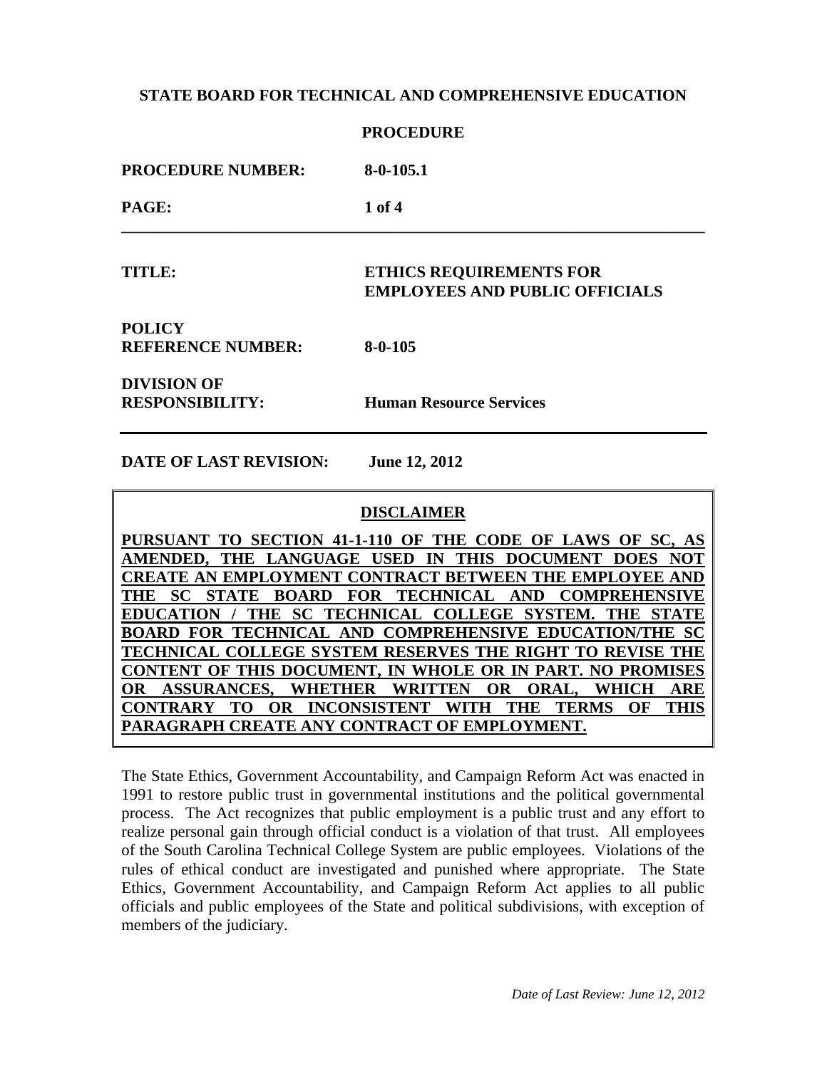|                                              | <b>PROCEDURE</b>                                                        |
|----------------------------------------------|-------------------------------------------------------------------------|
| <b>PROCEDURE NUMBER:</b>                     | $8-0-105.1$                                                             |
| PAGE:                                        | 1 of 4                                                                  |
| <b>TITLE:</b>                                | <b>ETHICS REQUIREMENTS FOR</b><br><b>EMPLOYEES AND PUBLIC OFFICIALS</b> |
| <b>POLICY</b><br><b>REFERENCE NUMBER:</b>    | $8 - 0 - 105$                                                           |
| <b>DIVISION OF</b><br><b>RESPONSIBILITY:</b> | <b>Human Resource Services</b>                                          |

**DATE OF LAST REVISION: June 12, 2012**

### **DISCLAIMER**

**PURSUANT TO SECTION 41-1-110 OF THE CODE OF LAWS OF SC, AS AMENDED, THE LANGUAGE USED IN THIS DOCUMENT DOES NOT CREATE AN EMPLOYMENT CONTRACT BETWEEN THE EMPLOYEE AND THE SC STATE BOARD FOR TECHNICAL AND COMPREHENSIVE EDUCATION / THE SC TECHNICAL COLLEGE SYSTEM. THE STATE BOARD FOR TECHNICAL AND COMPREHENSIVE EDUCATION/THE SC TECHNICAL COLLEGE SYSTEM RESERVES THE RIGHT TO REVISE THE CONTENT OF THIS DOCUMENT, IN WHOLE OR IN PART. NO PROMISES OR ASSURANCES, WHETHER WRITTEN OR ORAL, WHICH ARE CONTRARY TO OR INCONSISTENT WITH THE TERMS OF THIS PARAGRAPH CREATE ANY CONTRACT OF EMPLOYMENT.** 

The State Ethics, Government Accountability, and Campaign Reform Act was enacted in 1991 to restore public trust in governmental institutions and the political governmental process. The Act recognizes that public employment is a public trust and any effort to realize personal gain through official conduct is a violation of that trust. All employees of the South Carolina Technical College System are public employees. Violations of the rules of ethical conduct are investigated and punished where appropriate. The State Ethics, Government Accountability, and Campaign Reform Act applies to all public officials and public employees of the State and political subdivisions, with exception of members of the judiciary.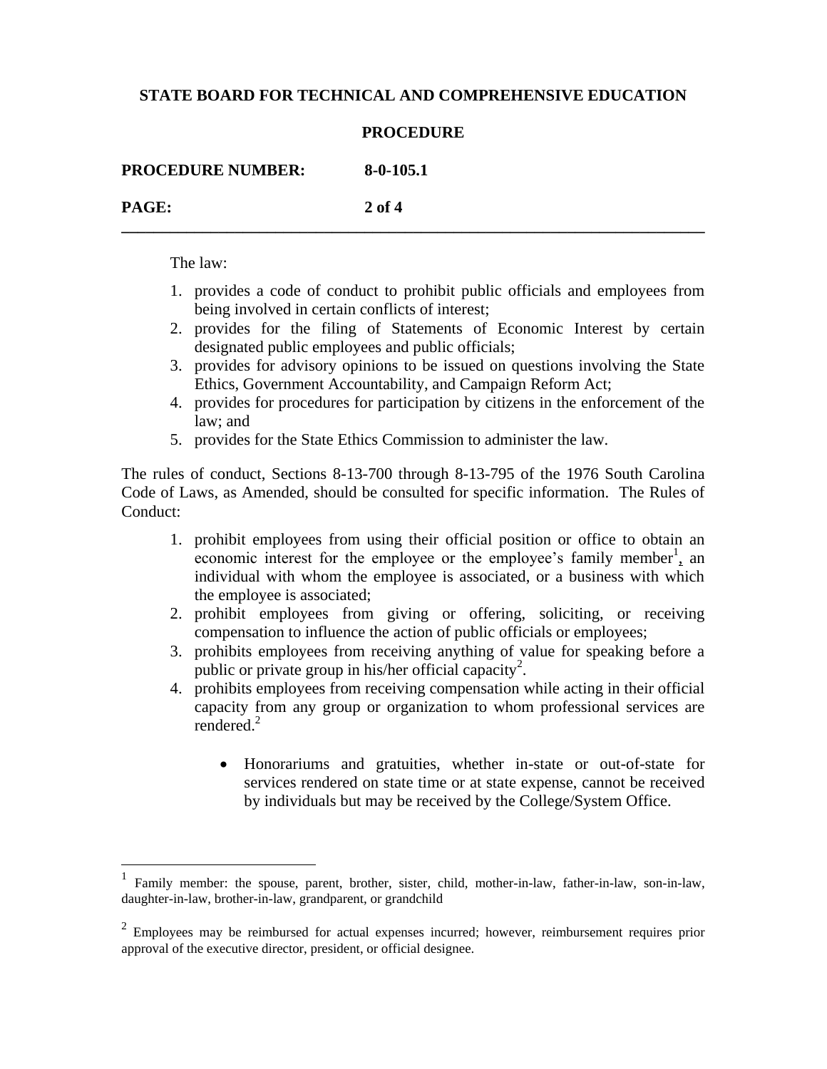#### **PROCEDURE**

**\_\_\_\_\_\_\_\_\_\_\_\_\_\_\_\_\_\_\_\_\_\_\_\_\_\_\_\_\_\_\_\_\_\_\_\_\_\_\_\_\_\_\_\_\_\_\_\_\_\_\_\_\_\_\_\_\_\_\_\_\_\_\_\_\_\_\_\_\_\_\_\_**

| <b>PROCEDURE NUMBER:</b> | 8-0-105.1 |
|--------------------------|-----------|
| <b>PAGE:</b>             | $2$ of 4  |

The law:

 $\overline{a}$ 

- 1. provides a code of conduct to prohibit public officials and employees from being involved in certain conflicts of interest;
- 2. provides for the filing of Statements of Economic Interest by certain designated public employees and public officials;
- 3. provides for advisory opinions to be issued on questions involving the State Ethics, Government Accountability, and Campaign Reform Act;
- 4. provides for procedures for participation by citizens in the enforcement of the law; and
- 5. provides for the State Ethics Commission to administer the law.

The rules of conduct, Sections 8-13-700 through 8-13-795 of the 1976 South Carolina Code of Laws, as Amended, should be consulted for specific information. The Rules of Conduct:

- 1. prohibit employees from using their official position or office to obtain an economic interest for the employee or the employee's family member<sup>1</sup>, an individual with whom the employee is associated, or a business with which the employee is associated;
- 2. prohibit employees from giving or offering, soliciting, or receiving compensation to influence the action of public officials or employees;
- 3. prohibits employees from receiving anything of value for speaking before a public or private group in his/her official capacity<sup>2</sup>.
- 4. prohibits employees from receiving compensation while acting in their official capacity from any group or organization to whom professional services are rendered.<sup>2</sup>
	- Honorariums and gratuities, whether in-state or out-of-state for services rendered on state time or at state expense, cannot be received by individuals but may be received by the College/System Office.

<sup>1</sup> Family member: the spouse, parent, brother, sister, child, mother-in-law, father-in-law, son-in-law, daughter-in-law, brother-in-law, grandparent, or grandchild

 $2$  Employees may be reimbursed for actual expenses incurred; however, reimbursement requires prior approval of the executive director, president, or official designee.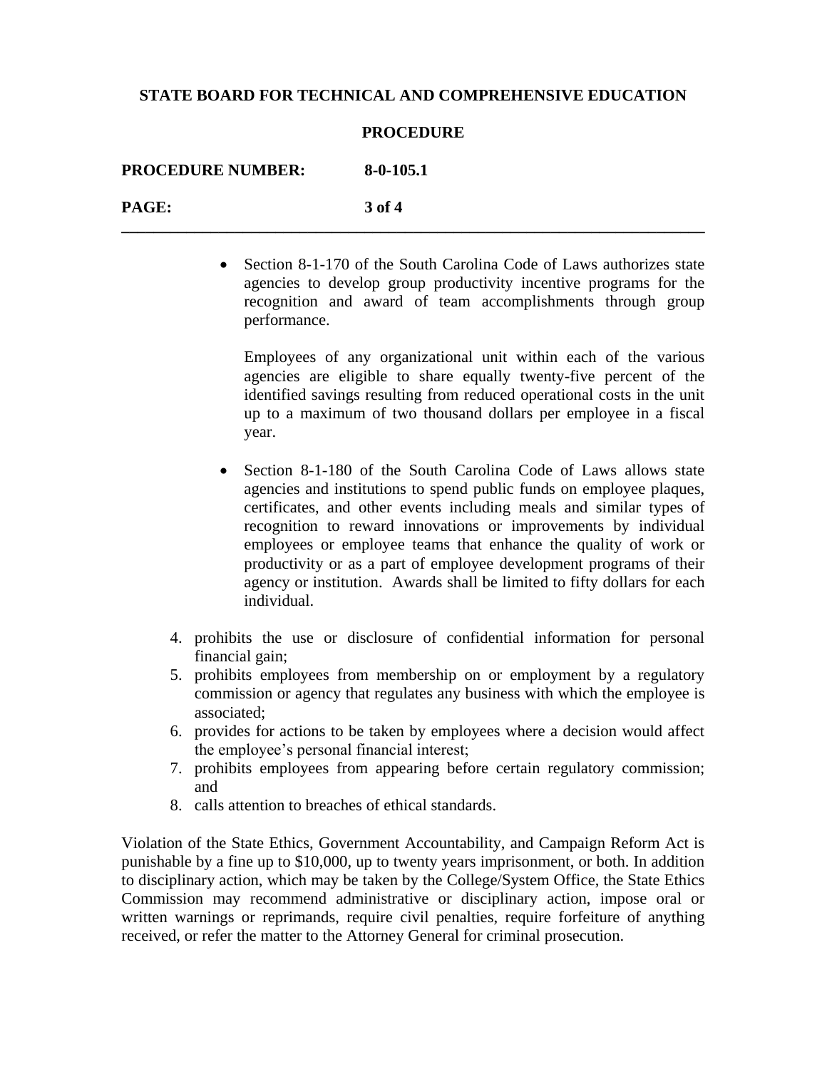#### **PROCEDURE**

| <b>PROCEDURE NUMBER:</b> | $8-0-105.1$ |
|--------------------------|-------------|
| PAGE:                    | 3 of 4      |

• Section 8-1-170 of the South Carolina Code of Laws authorizes state agencies to develop group productivity incentive programs for the recognition and award of team accomplishments through group performance.

Employees of any organizational unit within each of the various agencies are eligible to share equally twenty-five percent of the identified savings resulting from reduced operational costs in the unit up to a maximum of two thousand dollars per employee in a fiscal year.

- Section 8-1-180 of the South Carolina Code of Laws allows state agencies and institutions to spend public funds on employee plaques, certificates, and other events including meals and similar types of recognition to reward innovations or improvements by individual employees or employee teams that enhance the quality of work or productivity or as a part of employee development programs of their agency or institution. Awards shall be limited to fifty dollars for each individual.
- 4. prohibits the use or disclosure of confidential information for personal financial gain;
- 5. prohibits employees from membership on or employment by a regulatory commission or agency that regulates any business with which the employee is associated;
- 6. provides for actions to be taken by employees where a decision would affect the employee's personal financial interest;
- 7. prohibits employees from appearing before certain regulatory commission; and
- 8. calls attention to breaches of ethical standards.

Violation of the State Ethics, Government Accountability, and Campaign Reform Act is punishable by a fine up to \$10,000, up to twenty years imprisonment, or both. In addition to disciplinary action, which may be taken by the College/System Office, the State Ethics Commission may recommend administrative or disciplinary action, impose oral or written warnings or reprimands, require civil penalties, require forfeiture of anything received, or refer the matter to the Attorney General for criminal prosecution.